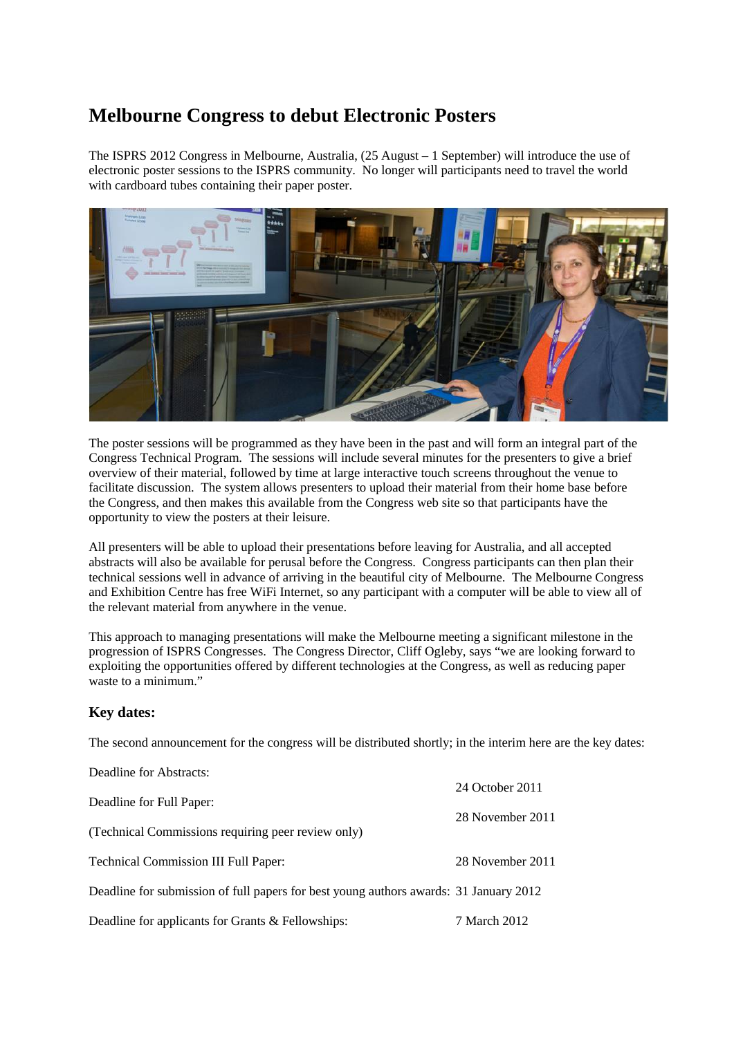## **Melbourne Congress to debut Electronic Posters**

The ISPRS 2012 Congress in Melbourne, Australia, (25 August – 1 September) will introduce the use of electronic poster sessions to the ISPRS community. No longer will participants need to travel the world with cardboard tubes containing their paper poster.



The poster sessions will be programmed as they have been in the past and will form an integral part of the Congress Technical Program. The sessions will include several minutes for the presenters to give a brief overview of their material, followed by time at large interactive touch screens throughout the venue to facilitate discussion. The system allows presenters to upload their material from their home base before the Congress, and then makes this available from the Congress web site so that participants have the opportunity to view the posters at their leisure.

All presenters will be able to upload their presentations before leaving for Australia, and all accepted abstracts will also be available for perusal before the Congress. Congress participants can then plan their technical sessions well in advance of arriving in the beautiful city of Melbourne. The Melbourne Congress and Exhibition Centre has free WiFi Internet, so any participant with a computer will be able to view all of the relevant material from anywhere in the venue.

This approach to managing presentations will make the Melbourne meeting a significant milestone in the progression of ISPRS Congresses. The Congress Director, Cliff Ogleby, says "we are looking forward to exploiting the opportunities offered by different technologies at the Congress, as well as reducing paper waste to a minimum."

## **Key dates:**

The second announcement for the congress will be distributed shortly; in the interim here are the key dates:

| Deadline for Abstracts:                                                               |                  |
|---------------------------------------------------------------------------------------|------------------|
|                                                                                       | 24 October 2011  |
| Deadline for Full Paper:                                                              | 28 November 2011 |
| (Technical Commissions requiring peer review only)                                    |                  |
| <b>Technical Commission III Full Paper:</b>                                           | 28 November 2011 |
| Deadline for submission of full papers for best young authors awards: 31 January 2012 |                  |
| Deadline for applicants for Grants & Fellowships:                                     | 7 March 2012     |